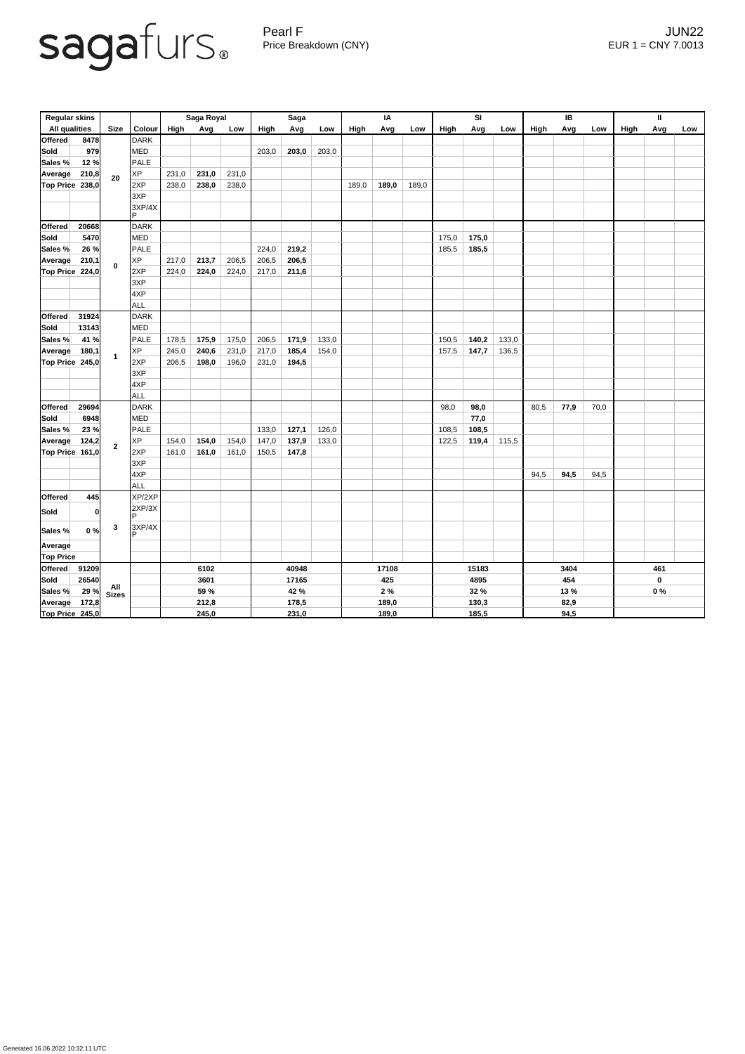Pearl F Gearl Contract of the UNIX and the UNIX and the UNIX and the UNIX and the UNIX and the UNIX and the UNIX and the UNIX and the UNIX and the UNIX and the UNIX and the UNIX and the UNIX and the UNIX and the UNIX and t Price Breakdown (CNY) EUR 1 = CNY 7.0013

| <b>Regular skins</b> |       |                |                      | Saga Royal  |       |       | <b>Saga</b> |       |       | IA    |       |       | <b>SI</b> |       |       | IB   |      |      | Ш           |             |     |  |
|----------------------|-------|----------------|----------------------|-------------|-------|-------|-------------|-------|-------|-------|-------|-------|-----------|-------|-------|------|------|------|-------------|-------------|-----|--|
| <b>All qualities</b> |       | <b>Size</b>    | Colour               | High        | Avg   | Low   | High        | Avg   | Low   | High  | Avg   | Low   | High      | Avg   | Low   | High | Avg  | Low  | <b>High</b> | Avg         | Low |  |
| <b>Offered</b>       | 8478  |                | <b>DARK</b>          |             |       |       |             |       |       |       |       |       |           |       |       |      |      |      |             |             |     |  |
| <b>Sold</b>          | 979   | 20             | <b>MED</b>           |             |       |       | 203,0       | 203,0 | 203,0 |       |       |       |           |       |       |      |      |      |             |             |     |  |
| Sales %              | 12 %  |                | <b>PALE</b>          |             |       |       |             |       |       |       |       |       |           |       |       |      |      |      |             |             |     |  |
| Average              | 210,8 |                | <b>XP</b>            | 231,0       | 231,0 | 231,0 |             |       |       |       |       |       |           |       |       |      |      |      |             |             |     |  |
| Top Price            | 238,0 |                | 2XP                  | 238,0       | 238,0 | 238,0 |             |       |       | 189,0 | 189,0 | 189,0 |           |       |       |      |      |      |             |             |     |  |
|                      |       |                | 3XP                  |             |       |       |             |       |       |       |       |       |           |       |       |      |      |      |             |             |     |  |
|                      |       |                | 3XP/4X<br>P          |             |       |       |             |       |       |       |       |       |           |       |       |      |      |      |             |             |     |  |
| <b>Offered</b>       | 20668 |                | <b>DARK</b>          |             |       |       |             |       |       |       |       |       |           |       |       |      |      |      |             |             |     |  |
| <b>Sold</b>          | 5470  | $\mathbf 0$    | <b>MED</b>           |             |       |       |             |       |       |       |       |       | 175,0     | 175,0 |       |      |      |      |             |             |     |  |
| Sales %              | 26 %  |                | PALE                 |             |       |       | 224,0       | 219,2 |       |       |       |       | 185,5     | 185,5 |       |      |      |      |             |             |     |  |
| Average              | 210,1 |                | <b>XP</b>            | 217,0       | 213,7 | 206,5 | 206,5       | 206,5 |       |       |       |       |           |       |       |      |      |      |             |             |     |  |
| Top Price 224,0      |       |                | 2XP                  | 224,0       | 224,0 | 224,0 | 217,0       | 211,6 |       |       |       |       |           |       |       |      |      |      |             |             |     |  |
|                      |       |                | 3XP                  |             |       |       |             |       |       |       |       |       |           |       |       |      |      |      |             |             |     |  |
|                      |       |                | 4XP                  |             |       |       |             |       |       |       |       |       |           |       |       |      |      |      |             |             |     |  |
|                      |       |                | <b>ALL</b>           |             |       |       |             |       |       |       |       |       |           |       |       |      |      |      |             |             |     |  |
| <b>Offered</b>       | 31924 |                | <b>DARK</b>          |             |       |       |             |       |       |       |       |       |           |       |       |      |      |      |             |             |     |  |
| <b>Sold</b>          | 13143 | $\mathbf{1}$   | <b>MED</b>           |             |       |       |             |       |       |       |       |       |           |       |       |      |      |      |             |             |     |  |
| Sales %              | 41 %  |                | <b>PALE</b>          | 178,5       | 175,9 | 175,0 | 206,5       | 171,9 | 133,0 |       |       |       | 150,5     | 140,2 | 133,0 |      |      |      |             |             |     |  |
| Average              | 180,1 |                | <b>XP</b>            | 245,0       | 240,6 | 231,0 | 217,0       | 185,4 | 154,0 |       |       |       | 157,5     | 147,7 | 136,5 |      |      |      |             |             |     |  |
| Top Price 245,0      |       |                | 2XP                  | 206,5       | 198,0 | 196,0 | 231,0       | 194,5 |       |       |       |       |           |       |       |      |      |      |             |             |     |  |
|                      |       |                | 3XP                  |             |       |       |             |       |       |       |       |       |           |       |       |      |      |      |             |             |     |  |
|                      |       |                | 4XP                  |             |       |       |             |       |       |       |       |       |           |       |       |      |      |      |             |             |     |  |
|                      |       |                | ALL                  |             |       |       |             |       |       |       |       |       |           |       |       |      |      |      |             |             |     |  |
| <b>Offered</b>       | 29694 |                | <b>DARK</b>          |             |       |       |             |       |       |       |       |       | 98,0      | 98,0  |       | 80,5 | 77,9 | 70,0 |             |             |     |  |
| <b>Sold</b>          | 6948  | $\overline{2}$ | <b>MED</b>           |             |       |       |             |       |       |       |       |       |           | 77,0  |       |      |      |      |             |             |     |  |
| <b>Sales %</b>       | 23%   |                | <b>PALE</b>          |             |       |       | 133,0       | 127,1 | 126,0 |       |       |       | 108,5     | 108,5 |       |      |      |      |             |             |     |  |
| <b>Average</b>       | 124,2 |                | <b>XP</b>            | 154,0       | 154,0 | 154,0 | 147,0       | 137,9 | 133,0 |       |       |       | 122,5     | 119,4 | 115,5 |      |      |      |             |             |     |  |
| Top Price 161,0      |       |                | 2XP                  | 161,0       | 161,0 | 161,0 | 150,5       | 147,8 |       |       |       |       |           |       |       |      |      |      |             |             |     |  |
|                      |       |                | 3XP                  |             |       |       |             |       |       |       |       |       |           |       |       |      |      |      |             |             |     |  |
|                      |       |                | AXP                  |             |       |       |             |       |       |       |       |       |           |       |       | 94,5 | 94,5 | 94,5 |             |             |     |  |
| <b>Offered</b>       | 445   |                | <b>ALL</b><br>XP/2XP |             |       |       |             |       |       |       |       |       |           |       |       |      |      |      |             |             |     |  |
|                      |       |                | 2XP/3X               |             |       |       |             |       |       |       |       |       |           |       |       |      |      |      |             |             |     |  |
| <b>Sold</b>          | 0     |                | D                    |             |       |       |             |       |       |       |       |       |           |       |       |      |      |      |             |             |     |  |
| Sales %              | 0%    | $\mathbf{3}$   | 3XP/4X<br>D          |             |       |       |             |       |       |       |       |       |           |       |       |      |      |      |             |             |     |  |
| Average              |       |                |                      |             |       |       |             |       |       |       |       |       |           |       |       |      |      |      |             |             |     |  |
| <b>Top Price</b>     |       |                |                      |             |       |       |             |       |       |       |       |       |           |       |       |      |      |      |             |             |     |  |
| Offered              | 91209 |                |                      | 6102        |       |       | 40948       |       |       | 17108 |       | 15183 |           |       | 3404  |      |      | 461  |             |             |     |  |
| <b>Sold</b>          | 26540 |                |                      | 3601        |       |       | 17165       |       |       |       | 425   |       |           | 4895  |       |      | 454  |      |             | $\mathbf 0$ |     |  |
| Sales %              | 29%   | All<br>Sizes   |                      | <b>59 %</b> |       |       | 42 %        |       |       |       | 2%    |       | 32 %      |       |       | 13 % |      |      |             | $0\%$       |     |  |
| <b>Average</b>       | 172,8 |                |                      | 212,8       |       |       | 178,5       |       |       | 189,0 |       |       | 130,3     |       |       | 82,9 |      |      |             |             |     |  |
| Top Price 245,0      |       |                |                      | 245,0       |       |       | 231,0       |       |       |       | 189,0 |       |           | 185,5 |       |      | 94,5 |      |             |             |     |  |